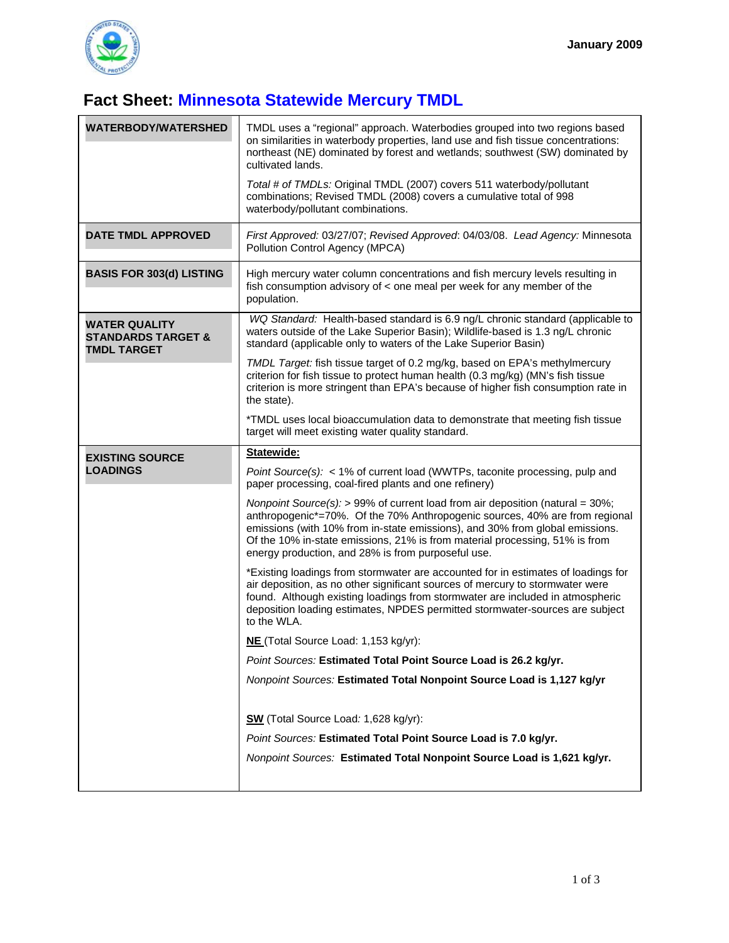

## **Fact Sheet: Minnesota Statewide Mercury TMDL**

| <b>WATERBODY/WATERSHED</b>                                                  | TMDL uses a "regional" approach. Waterbodies grouped into two regions based<br>on similarities in waterbody properties, land use and fish tissue concentrations:<br>northeast (NE) dominated by forest and wetlands; southwest (SW) dominated by<br>cultivated lands.<br>Total # of TMDLs: Original TMDL (2007) covers 511 waterbody/pollutant<br>combinations; Revised TMDL (2008) covers a cumulative total of 998<br>waterbody/pollutant combinations. |
|-----------------------------------------------------------------------------|-----------------------------------------------------------------------------------------------------------------------------------------------------------------------------------------------------------------------------------------------------------------------------------------------------------------------------------------------------------------------------------------------------------------------------------------------------------|
| <b>DATE TMDL APPROVED</b>                                                   | First Approved: 03/27/07; Revised Approved: 04/03/08. Lead Agency: Minnesota<br>Pollution Control Agency (MPCA)                                                                                                                                                                                                                                                                                                                                           |
| <b>BASIS FOR 303(d) LISTING</b>                                             | High mercury water column concentrations and fish mercury levels resulting in<br>fish consumption advisory of < one meal per week for any member of the<br>population.                                                                                                                                                                                                                                                                                    |
| <b>WATER QUALITY</b><br><b>STANDARDS TARGET &amp;</b><br><b>TMDL TARGET</b> | WQ Standard: Health-based standard is 6.9 ng/L chronic standard (applicable to<br>waters outside of the Lake Superior Basin); Wildlife-based is 1.3 ng/L chronic<br>standard (applicable only to waters of the Lake Superior Basin)                                                                                                                                                                                                                       |
|                                                                             | TMDL Target: fish tissue target of 0.2 mg/kg, based on EPA's methylmercury<br>criterion for fish tissue to protect human health (0.3 mg/kg) (MN's fish tissue<br>criterion is more stringent than EPA's because of higher fish consumption rate in<br>the state).                                                                                                                                                                                         |
|                                                                             | *TMDL uses local bioaccumulation data to demonstrate that meeting fish tissue<br>target will meet existing water quality standard.                                                                                                                                                                                                                                                                                                                        |
| <b>EXISTING SOURCE</b>                                                      | Statewide:                                                                                                                                                                                                                                                                                                                                                                                                                                                |
| <b>LOADINGS</b>                                                             | Point Source(s): < 1% of current load (WWTPs, taconite processing, pulp and<br>paper processing, coal-fired plants and one refinery)                                                                                                                                                                                                                                                                                                                      |
|                                                                             | Nonpoint Source(s): > 99% of current load from air deposition (natural = $30\%$ ;<br>anthropogenic*=70%. Of the 70% Anthropogenic sources, 40% are from regional<br>emissions (with 10% from in-state emissions), and 30% from global emissions.<br>Of the 10% in-state emissions, 21% is from material processing, 51% is from<br>energy production, and 28% is from purposeful use.                                                                     |
|                                                                             | *Existing loadings from stormwater are accounted for in estimates of loadings for<br>air deposition, as no other significant sources of mercury to stormwater were<br>found. Although existing loadings from stormwater are included in atmospheric<br>deposition loading estimates, NPDES permitted stormwater-sources are subject<br>to the WLA.                                                                                                        |
|                                                                             | NE (Total Source Load: 1,153 kg/yr):                                                                                                                                                                                                                                                                                                                                                                                                                      |
|                                                                             | Point Sources: Estimated Total Point Source Load is 26.2 kg/yr.                                                                                                                                                                                                                                                                                                                                                                                           |
|                                                                             | Nonpoint Sources: Estimated Total Nonpoint Source Load is 1,127 kg/yr                                                                                                                                                                                                                                                                                                                                                                                     |
|                                                                             | SW (Total Source Load: 1,628 kg/yr):                                                                                                                                                                                                                                                                                                                                                                                                                      |
|                                                                             | Point Sources: Estimated Total Point Source Load is 7.0 kg/yr.                                                                                                                                                                                                                                                                                                                                                                                            |
|                                                                             | Nonpoint Sources: Estimated Total Nonpoint Source Load is 1,621 kg/yr.                                                                                                                                                                                                                                                                                                                                                                                    |
|                                                                             |                                                                                                                                                                                                                                                                                                                                                                                                                                                           |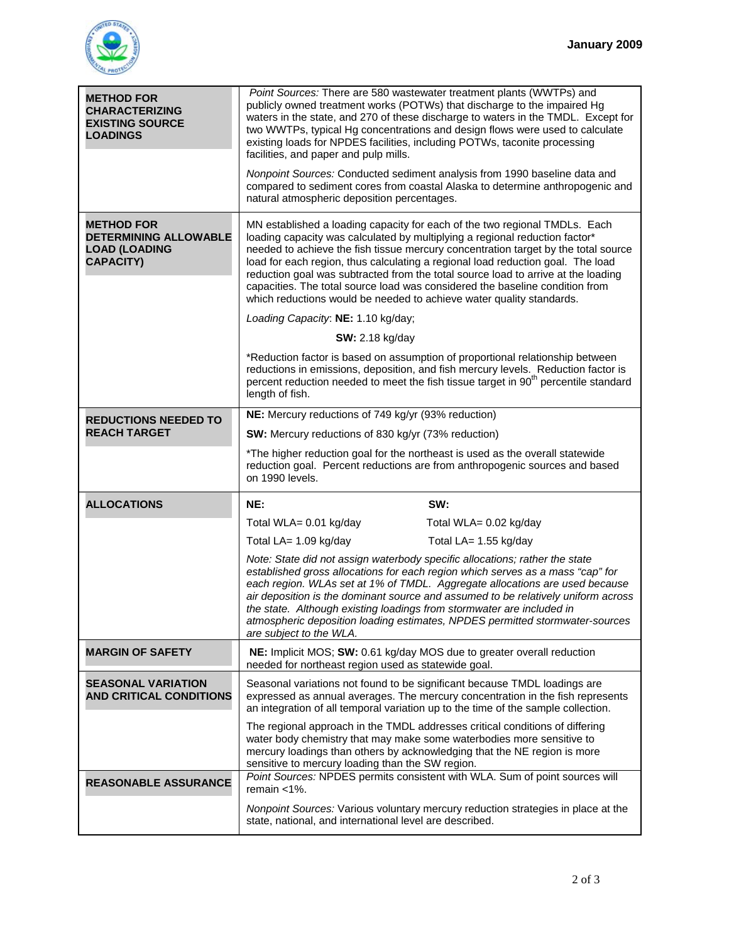

| <b>METHOD FOR</b><br><b>CHARACTERIZING</b><br><b>EXISTING SOURCE</b><br><b>LOADINGS</b>       | Point Sources: There are 580 wastewater treatment plants (WWTPs) and<br>publicly owned treatment works (POTWs) that discharge to the impaired Hg<br>waters in the state, and 270 of these discharge to waters in the TMDL. Except for<br>two WWTPs, typical Hg concentrations and design flows were used to calculate<br>existing loads for NPDES facilities, including POTWs, taconite processing<br>facilities, and paper and pulp mills.<br>Nonpoint Sources: Conducted sediment analysis from 1990 baseline data and<br>compared to sediment cores from coastal Alaska to determine anthropogenic and<br>natural atmospheric deposition percentages.                                                                                                                                                                                                                                                                                    |
|-----------------------------------------------------------------------------------------------|---------------------------------------------------------------------------------------------------------------------------------------------------------------------------------------------------------------------------------------------------------------------------------------------------------------------------------------------------------------------------------------------------------------------------------------------------------------------------------------------------------------------------------------------------------------------------------------------------------------------------------------------------------------------------------------------------------------------------------------------------------------------------------------------------------------------------------------------------------------------------------------------------------------------------------------------|
| <b>METHOD FOR</b><br><b>DETERMINING ALLOWABLE</b><br><b>LOAD (LOADING</b><br><b>CAPACITY)</b> | MN established a loading capacity for each of the two regional TMDLs. Each<br>loading capacity was calculated by multiplying a regional reduction factor*<br>needed to achieve the fish tissue mercury concentration target by the total source<br>load for each region, thus calculating a regional load reduction goal. The load<br>reduction goal was subtracted from the total source load to arrive at the loading<br>capacities. The total source load was considered the baseline condition from<br>which reductions would be needed to achieve water quality standards.<br>Loading Capacity: NE: 1.10 kg/day;<br><b>SW:</b> 2.18 kg/day<br>*Reduction factor is based on assumption of proportional relationship between<br>reductions in emissions, deposition, and fish mercury levels. Reduction factor is<br>percent reduction needed to meet the fish tissue target in 90 <sup>th</sup> percentile standard<br>length of fish. |
| <b>REDUCTIONS NEEDED TO</b>                                                                   | NE: Mercury reductions of 749 kg/yr (93% reduction)                                                                                                                                                                                                                                                                                                                                                                                                                                                                                                                                                                                                                                                                                                                                                                                                                                                                                         |
| <b>REACH TARGET</b>                                                                           | SW: Mercury reductions of 830 kg/yr (73% reduction)                                                                                                                                                                                                                                                                                                                                                                                                                                                                                                                                                                                                                                                                                                                                                                                                                                                                                         |
|                                                                                               | *The higher reduction goal for the northeast is used as the overall statewide<br>reduction goal. Percent reductions are from anthropogenic sources and based<br>on 1990 levels.                                                                                                                                                                                                                                                                                                                                                                                                                                                                                                                                                                                                                                                                                                                                                             |
| <b>ALLOCATIONS</b>                                                                            | NE:<br>SW:                                                                                                                                                                                                                                                                                                                                                                                                                                                                                                                                                                                                                                                                                                                                                                                                                                                                                                                                  |
|                                                                                               | Total WLA= 0.01 kg/day<br>Total WLA= 0.02 kg/day                                                                                                                                                                                                                                                                                                                                                                                                                                                                                                                                                                                                                                                                                                                                                                                                                                                                                            |
|                                                                                               | Total LA= 1.09 kg/day<br>Total LA= 1.55 kg/day                                                                                                                                                                                                                                                                                                                                                                                                                                                                                                                                                                                                                                                                                                                                                                                                                                                                                              |
|                                                                                               | Note: State did not assign waterbody specific allocations; rather the state<br>established gross allocations for each region which serves as a mass "cap" for<br>each region. WLAs set at 1% of TMDL. Aggregate allocations are used because<br>air deposition is the dominant source and assumed to be relatively uniform across<br>the state. Although existing loadings from stormwater are included in<br>atmospheric deposition loading estimates, NPDES permitted stormwater-sources<br>are subject to the WLA.                                                                                                                                                                                                                                                                                                                                                                                                                       |
| <b>MARGIN OF SAFETY</b>                                                                       | NE: Implicit MOS; SW: 0.61 kg/day MOS due to greater overall reduction<br>needed for northeast region used as statewide goal.                                                                                                                                                                                                                                                                                                                                                                                                                                                                                                                                                                                                                                                                                                                                                                                                               |
| <b>SEASONAL VARIATION</b><br><b>AND CRITICAL CONDITIONS</b>                                   | Seasonal variations not found to be significant because TMDL loadings are<br>expressed as annual averages. The mercury concentration in the fish represents<br>an integration of all temporal variation up to the time of the sample collection.                                                                                                                                                                                                                                                                                                                                                                                                                                                                                                                                                                                                                                                                                            |
|                                                                                               | The regional approach in the TMDL addresses critical conditions of differing<br>water body chemistry that may make some waterbodies more sensitive to<br>mercury loadings than others by acknowledging that the NE region is more<br>sensitive to mercury loading than the SW region.                                                                                                                                                                                                                                                                                                                                                                                                                                                                                                                                                                                                                                                       |
| <b>REASONABLE ASSURANCE</b>                                                                   | Point Sources: NPDES permits consistent with WLA. Sum of point sources will<br>remain $<$ 1%.                                                                                                                                                                                                                                                                                                                                                                                                                                                                                                                                                                                                                                                                                                                                                                                                                                               |
|                                                                                               |                                                                                                                                                                                                                                                                                                                                                                                                                                                                                                                                                                                                                                                                                                                                                                                                                                                                                                                                             |